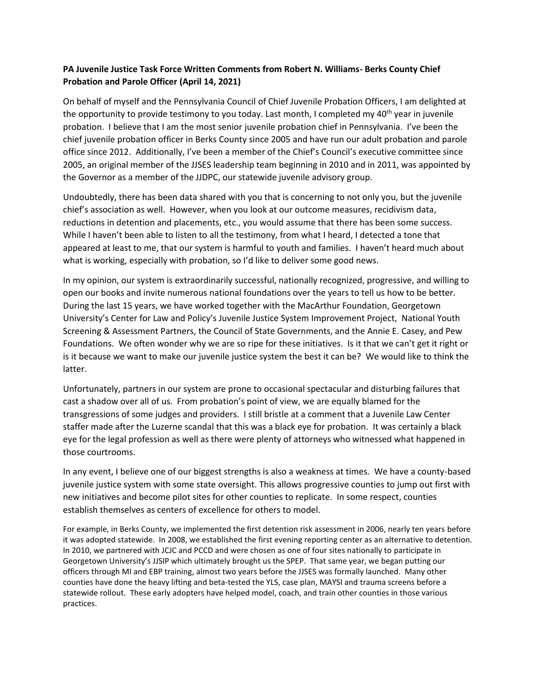## **PA Juvenile Justice Task Force Written Comments from Robert N. Williams- Berks County Chief Probation and Parole Officer (April 14, 2021)**

On behalf of myself and the Pennsylvania Council of Chief Juvenile Probation Officers, I am delighted at the opportunity to provide testimony to you today. Last month, I completed my  $40<sup>th</sup>$  year in juvenile probation. I believe that I am the most senior juvenile probation chief in Pennsylvania. I've been the chief juvenile probation officer in Berks County since 2005 and have run our adult probation and parole office since 2012. Additionally, I've been a member of the Chief's Council's executive committee since 2005, an original member of the JJSES leadership team beginning in 2010 and in 2011, was appointed by the Governor as a member of the JJDPC, our statewide juvenile advisory group.

Undoubtedly, there has been data shared with you that is concerning to not only you, but the juvenile chief's association as well. However, when you look at our outcome measures, recidivism data, reductions in detention and placements, etc., you would assume that there has been some success. While I haven't been able to listen to all the testimony, from what I heard, I detected a tone that appeared at least to me, that our system is harmful to youth and families. I haven't heard much about what is working, especially with probation, so I'd like to deliver some good news.

In my opinion, our system is extraordinarily successful, nationally recognized, progressive, and willing to open our books and invite numerous national foundations over the years to tell us how to be better. During the last 15 years, we have worked together with the MacArthur Foundation, Georgetown University's Center for Law and Policy's Juvenile Justice System Improvement Project, National Youth Screening & Assessment Partners, the Council of State Governments, and the Annie E. Casey, and Pew Foundations. We often wonder why we are so ripe for these initiatives. Is it that we can't get it right or is it because we want to make our juvenile justice system the best it can be? We would like to think the latter.

Unfortunately, partners in our system are prone to occasional spectacular and disturbing failures that cast a shadow over all of us. From probation's point of view, we are equally blamed for the transgressions of some judges and providers. I still bristle at a comment that a Juvenile Law Center staffer made after the Luzerne scandal that this was a black eye for probation. It was certainly a black eye for the legal profession as well as there were plenty of attorneys who witnessed what happened in those courtrooms.

In any event, I believe one of our biggest strengths is also a weakness at times. We have a county-based juvenile justice system with some state oversight. This allows progressive counties to jump out first with new initiatives and become pilot sites for other counties to replicate. In some respect, counties establish themselves as centers of excellence for others to model.

For example, in Berks County, we implemented the first detention risk assessment in 2006, nearly ten years before it was adopted statewide. In 2008, we established the first evening reporting center as an alternative to detention. In 2010, we partnered with JCJC and PCCD and were chosen as one of four sites nationally to participate in Georgetown University's JJSIP which ultimately brought us the SPEP. That same year, we began putting our officers through MI and EBP training, almost two years before the JJSES was formally launched. Many other counties have done the heavy lifting and beta-tested the YLS, case plan, MAYSI and trauma screens before a statewide rollout. These early adopters have helped model, coach, and train other counties in those various practices.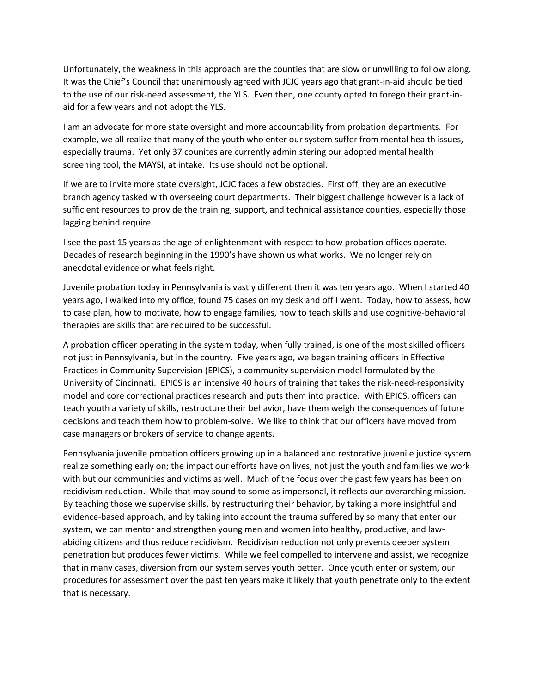Unfortunately, the weakness in this approach are the counties that are slow or unwilling to follow along. It was the Chief's Council that unanimously agreed with JCJC years ago that grant-in-aid should be tied to the use of our risk-need assessment, the YLS. Even then, one county opted to forego their grant-inaid for a few years and not adopt the YLS.

I am an advocate for more state oversight and more accountability from probation departments. For example, we all realize that many of the youth who enter our system suffer from mental health issues, especially trauma. Yet only 37 counites are currently administering our adopted mental health screening tool, the MAYSI, at intake. Its use should not be optional.

If we are to invite more state oversight, JCJC faces a few obstacles. First off, they are an executive branch agency tasked with overseeing court departments. Their biggest challenge however is a lack of sufficient resources to provide the training, support, and technical assistance counties, especially those lagging behind require.

I see the past 15 years as the age of enlightenment with respect to how probation offices operate. Decades of research beginning in the 1990's have shown us what works. We no longer rely on anecdotal evidence or what feels right.

Juvenile probation today in Pennsylvania is vastly different then it was ten years ago. When I started 40 years ago, I walked into my office, found 75 cases on my desk and off I went. Today, how to assess, how to case plan, how to motivate, how to engage families, how to teach skills and use cognitive-behavioral therapies are skills that are required to be successful.

A probation officer operating in the system today, when fully trained, is one of the most skilled officers not just in Pennsylvania, but in the country. Five years ago, we began training officers in Effective Practices in Community Supervision (EPICS), a community supervision model formulated by the University of Cincinnati. EPICS is an intensive 40 hours of training that takes the risk-need-responsivity model and core correctional practices research and puts them into practice. With EPICS, officers can teach youth a variety of skills, restructure their behavior, have them weigh the consequences of future decisions and teach them how to problem-solve. We like to think that our officers have moved from case managers or brokers of service to change agents.

Pennsylvania juvenile probation officers growing up in a balanced and restorative juvenile justice system realize something early on; the impact our efforts have on lives, not just the youth and families we work with but our communities and victims as well. Much of the focus over the past few years has been on recidivism reduction. While that may sound to some as impersonal, it reflects our overarching mission. By teaching those we supervise skills, by restructuring their behavior, by taking a more insightful and evidence-based approach, and by taking into account the trauma suffered by so many that enter our system, we can mentor and strengthen young men and women into healthy, productive, and lawabiding citizens and thus reduce recidivism. Recidivism reduction not only prevents deeper system penetration but produces fewer victims. While we feel compelled to intervene and assist, we recognize that in many cases, diversion from our system serves youth better. Once youth enter or system, our procedures for assessment over the past ten years make it likely that youth penetrate only to the extent that is necessary.